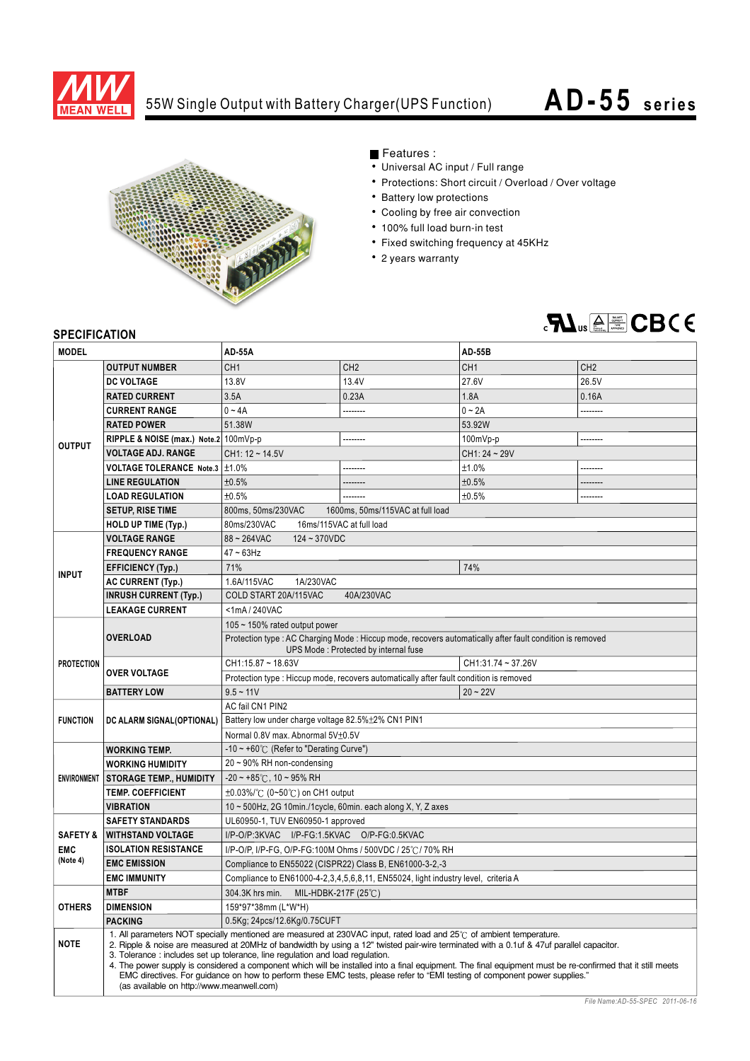

## 55W Single Output with Battery Charger(UPS Function)

## **AD- 55 series**



## Features :

- Universal AC input / Full range
- Protections: Short circuit / Overload / Over voltage
- Battery low protections
- Cooling by free air convection
- 100% full load burn-in test
- Fixed switching frequency at 45KHz
- 2 years warranty



## **SPECIFICATION**

| <b>MODEL</b>                                  |                                                                                                                                                                                                                                                                                                                                                                                                                                                                                                                                                                                                                                                                                                                               | <b>AD-55A</b>                                                                                                                                     |                 | <b>AD-55B</b>   |                 |
|-----------------------------------------------|-------------------------------------------------------------------------------------------------------------------------------------------------------------------------------------------------------------------------------------------------------------------------------------------------------------------------------------------------------------------------------------------------------------------------------------------------------------------------------------------------------------------------------------------------------------------------------------------------------------------------------------------------------------------------------------------------------------------------------|---------------------------------------------------------------------------------------------------------------------------------------------------|-----------------|-----------------|-----------------|
|                                               | <b>OUTPUT NUMBER</b>                                                                                                                                                                                                                                                                                                                                                                                                                                                                                                                                                                                                                                                                                                          | CH <sub>1</sub>                                                                                                                                   | CH <sub>2</sub> | CH <sub>1</sub> | CH <sub>2</sub> |
| <b>OUTPUT</b>                                 | <b>DC VOLTAGE</b>                                                                                                                                                                                                                                                                                                                                                                                                                                                                                                                                                                                                                                                                                                             | 13.8V                                                                                                                                             | 13.4V           | 27.6V           | 26.5V           |
|                                               | <b>RATED CURRENT</b>                                                                                                                                                                                                                                                                                                                                                                                                                                                                                                                                                                                                                                                                                                          | 3.5A                                                                                                                                              | 0.23A           | 1.8A            | 0.16A           |
|                                               | <b>CURRENT RANGE</b>                                                                                                                                                                                                                                                                                                                                                                                                                                                                                                                                                                                                                                                                                                          | $0 - 4A$                                                                                                                                          | --------        | $0 - 2A$        |                 |
|                                               | <b>RATED POWER</b>                                                                                                                                                                                                                                                                                                                                                                                                                                                                                                                                                                                                                                                                                                            | 51.38W                                                                                                                                            |                 | 53.92W          |                 |
|                                               | RIPPLE & NOISE (max.) Note.2 100mVp-p                                                                                                                                                                                                                                                                                                                                                                                                                                                                                                                                                                                                                                                                                         |                                                                                                                                                   | --------        | $100mVp-p$      | --------        |
|                                               | <b>VOLTAGE ADJ. RANGE</b>                                                                                                                                                                                                                                                                                                                                                                                                                                                                                                                                                                                                                                                                                                     | $CH1: 12 - 14.5V$                                                                                                                                 |                 | CH1: 24~29V     |                 |
|                                               | VOLTAGE TOLERANCE Note.3   ±1.0%                                                                                                                                                                                                                                                                                                                                                                                                                                                                                                                                                                                                                                                                                              |                                                                                                                                                   | --------        | ±1.0%           | --------        |
|                                               | <b>LINE REGULATION</b>                                                                                                                                                                                                                                                                                                                                                                                                                                                                                                                                                                                                                                                                                                        | ±0.5%                                                                                                                                             |                 | ±0.5%           |                 |
|                                               | <b>LOAD REGULATION</b>                                                                                                                                                                                                                                                                                                                                                                                                                                                                                                                                                                                                                                                                                                        | ±0.5%                                                                                                                                             | --------        | ±0.5%           |                 |
|                                               | <b>SETUP, RISE TIME</b>                                                                                                                                                                                                                                                                                                                                                                                                                                                                                                                                                                                                                                                                                                       | 800ms, 50ms/230VAC<br>1600ms, 50ms/115VAC at full load                                                                                            |                 |                 |                 |
|                                               | <b>HOLD UP TIME (Typ.)</b>                                                                                                                                                                                                                                                                                                                                                                                                                                                                                                                                                                                                                                                                                                    | 16ms/115VAC at full load<br>80ms/230VAC                                                                                                           |                 |                 |                 |
| <b>INPUT</b>                                  | <b>VOLTAGE RANGE</b>                                                                                                                                                                                                                                                                                                                                                                                                                                                                                                                                                                                                                                                                                                          | $88 - 264$ VAC<br>$124 - 370VDC$                                                                                                                  |                 |                 |                 |
|                                               | <b>FREQUENCY RANGE</b>                                                                                                                                                                                                                                                                                                                                                                                                                                                                                                                                                                                                                                                                                                        | $47 - 63$ Hz                                                                                                                                      |                 |                 |                 |
|                                               | <b>EFFICIENCY (Typ.)</b>                                                                                                                                                                                                                                                                                                                                                                                                                                                                                                                                                                                                                                                                                                      | 71%<br>74%                                                                                                                                        |                 |                 |                 |
|                                               | <b>AC CURRENT (Typ.)</b>                                                                                                                                                                                                                                                                                                                                                                                                                                                                                                                                                                                                                                                                                                      | 1.6A/115VAC<br>1A/230VAC                                                                                                                          |                 |                 |                 |
|                                               | <b>INRUSH CURRENT (Typ.)</b>                                                                                                                                                                                                                                                                                                                                                                                                                                                                                                                                                                                                                                                                                                  | COLD START 20A/115VAC<br>40A/230VAC                                                                                                               |                 |                 |                 |
|                                               | <b>LEAKAGE CURRENT</b>                                                                                                                                                                                                                                                                                                                                                                                                                                                                                                                                                                                                                                                                                                        | <1mA/240VAC                                                                                                                                       |                 |                 |                 |
| <b>PROTECTION</b>                             |                                                                                                                                                                                                                                                                                                                                                                                                                                                                                                                                                                                                                                                                                                                               | 105 $\sim$ 150% rated output power                                                                                                                |                 |                 |                 |
|                                               | <b>OVERLOAD</b>                                                                                                                                                                                                                                                                                                                                                                                                                                                                                                                                                                                                                                                                                                               | Protection type : AC Charging Mode : Hiccup mode, recovers automatically after fault condition is removed<br>UPS Mode: Protected by internal fuse |                 |                 |                 |
|                                               |                                                                                                                                                                                                                                                                                                                                                                                                                                                                                                                                                                                                                                                                                                                               | CH1:15.87~18.63V<br>CH1:31.74~37.26V                                                                                                              |                 |                 |                 |
|                                               | <b>OVER VOLTAGE</b>                                                                                                                                                                                                                                                                                                                                                                                                                                                                                                                                                                                                                                                                                                           | Protection type : Hiccup mode, recovers automatically after fault condition is removed                                                            |                 |                 |                 |
|                                               | <b>BATTERY LOW</b>                                                                                                                                                                                                                                                                                                                                                                                                                                                                                                                                                                                                                                                                                                            | $9.5 - 11V$                                                                                                                                       |                 | $20 - 22V$      |                 |
|                                               |                                                                                                                                                                                                                                                                                                                                                                                                                                                                                                                                                                                                                                                                                                                               | AC fail CN1 PIN2                                                                                                                                  |                 |                 |                 |
| <b>FUNCTION</b>                               | DC ALARM SIGNAL(OPTIONAL)                                                                                                                                                                                                                                                                                                                                                                                                                                                                                                                                                                                                                                                                                                     | Battery low under charge voltage 82.5%±2% CN1 PIN1                                                                                                |                 |                 |                 |
|                                               |                                                                                                                                                                                                                                                                                                                                                                                                                                                                                                                                                                                                                                                                                                                               | Normal 0.8V max. Abnormal 5V±0.5V                                                                                                                 |                 |                 |                 |
| <b>ENVIRONMENT</b>                            | <b>WORKING TEMP.</b>                                                                                                                                                                                                                                                                                                                                                                                                                                                                                                                                                                                                                                                                                                          | -10 ~ +60°C (Refer to "Derating Curve")                                                                                                           |                 |                 |                 |
|                                               | <b>WORKING HUMIDITY</b>                                                                                                                                                                                                                                                                                                                                                                                                                                                                                                                                                                                                                                                                                                       | $20 \sim 90\%$ RH non-condensing                                                                                                                  |                 |                 |                 |
|                                               | <b>STORAGE TEMP., HUMIDITY</b>                                                                                                                                                                                                                                                                                                                                                                                                                                                                                                                                                                                                                                                                                                | $-20 \sim +85^{\circ}$ C, 10 ~ 95% RH                                                                                                             |                 |                 |                 |
|                                               | <b>TEMP. COEFFICIENT</b>                                                                                                                                                                                                                                                                                                                                                                                                                                                                                                                                                                                                                                                                                                      | $\pm 0.03\%$ / $\degree$ (0~50 $\degree$ C) on CH1 output                                                                                         |                 |                 |                 |
|                                               | <b>VIBRATION</b>                                                                                                                                                                                                                                                                                                                                                                                                                                                                                                                                                                                                                                                                                                              | 10 ~ 500Hz, 2G 10min./1cycle, 60min. each along X, Y, Z axes                                                                                      |                 |                 |                 |
|                                               | <b>SAFETY STANDARDS</b>                                                                                                                                                                                                                                                                                                                                                                                                                                                                                                                                                                                                                                                                                                       | UL60950-1, TUV EN60950-1 approved                                                                                                                 |                 |                 |                 |
| <b>SAFETY &amp;</b><br><b>EMC</b><br>(Note 4) | <b>WITHSTAND VOLTAGE</b>                                                                                                                                                                                                                                                                                                                                                                                                                                                                                                                                                                                                                                                                                                      | I/P-O/P:3KVAC I/P-FG:1.5KVAC O/P-FG:0.5KVAC                                                                                                       |                 |                 |                 |
|                                               | <b>ISOLATION RESISTANCE</b>                                                                                                                                                                                                                                                                                                                                                                                                                                                                                                                                                                                                                                                                                                   | I/P-O/P, I/P-FG, O/P-FG:100M Ohms / 500VDC / 25°C / 70% RH                                                                                        |                 |                 |                 |
|                                               | <b>EMC EMISSION</b>                                                                                                                                                                                                                                                                                                                                                                                                                                                                                                                                                                                                                                                                                                           | Compliance to EN55022 (CISPR22) Class B, EN61000-3-2,-3                                                                                           |                 |                 |                 |
|                                               | <b>EMC IMMUNITY</b>                                                                                                                                                                                                                                                                                                                                                                                                                                                                                                                                                                                                                                                                                                           | Compliance to EN61000-4-2,3,4,5,6,8,11, EN55024, light industry level, criteria A                                                                 |                 |                 |                 |
| <b>OTHERS</b>                                 | <b>MTBF</b>                                                                                                                                                                                                                                                                                                                                                                                                                                                                                                                                                                                                                                                                                                                   | 304.3K hrs min. MIL-HDBK-217F (25℃)                                                                                                               |                 |                 |                 |
|                                               | <b>DIMENSION</b>                                                                                                                                                                                                                                                                                                                                                                                                                                                                                                                                                                                                                                                                                                              | 159*97*38mm (L*W*H)                                                                                                                               |                 |                 |                 |
|                                               | <b>PACKING</b>                                                                                                                                                                                                                                                                                                                                                                                                                                                                                                                                                                                                                                                                                                                | 0.5Kg; 24pcs/12.6Kg/0.75CUFT                                                                                                                      |                 |                 |                 |
| <b>NOTE</b>                                   | 1. All parameters NOT specially mentioned are measured at 230VAC input, rated load and 25°C of ambient temperature.<br>2. Ripple & noise are measured at 20MHz of bandwidth by using a 12" twisted pair-wire terminated with a 0.1uf & 47uf parallel capacitor.<br>3. Tolerance: includes set up tolerance, line regulation and load regulation.<br>4. The power supply is considered a component which will be installed into a final equipment. The final equipment must be re-confirmed that it still meets<br>EMC directives. For guidance on how to perform these EMC tests, please refer to "EMI testing of component power supplies."<br>(as available on http://www.meanwell.com)<br>File Name: AD-55-SPEC 2011-06-16 |                                                                                                                                                   |                 |                 |                 |